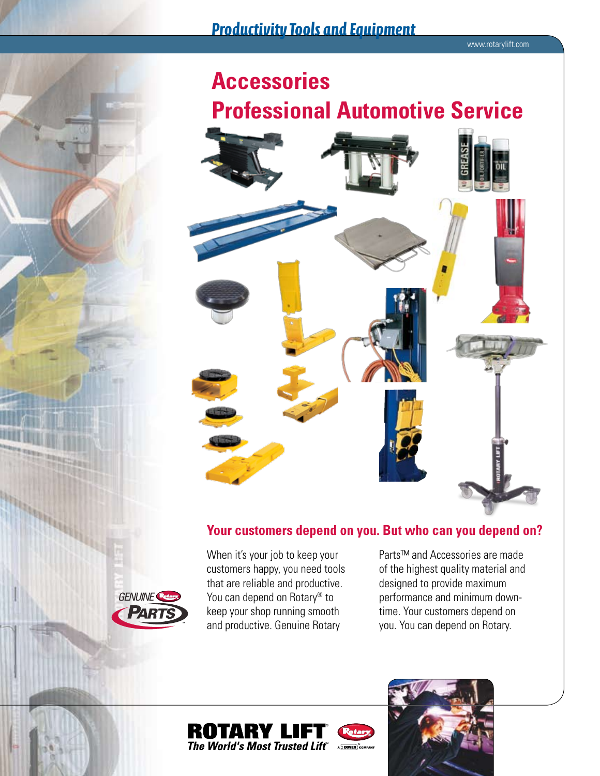

# **Your customers depend on you. But who can you depend on?**

When it's your job to keep your customers happy, you need tools that are reliable and productive. You can depend on Rotary<sup>®</sup> to keep your shop running smooth and productive. Genuine Rotary

Parts™ and Accessories are made of the highest quality material and designed to provide maximum performance and minimum downtime. Your customers depend on you. You can depend on Rotary.



Transport



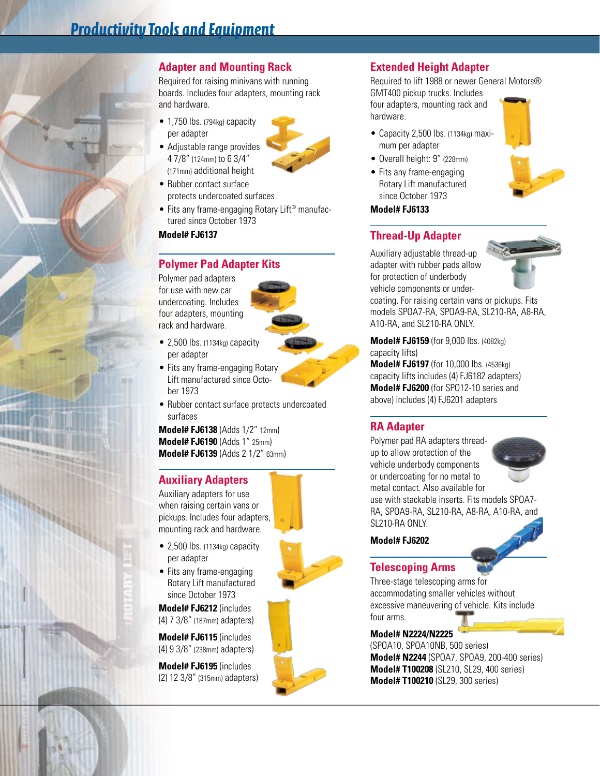

# **Adapter and Mounting Rack**

Required for raising minivans with running boards. Includes four adapters, mounting rack and hardware.

- 1,750 lbs. (794kg) capacity per adapter
- Adjustable range provides 4 7/8" (124mm) to 6 3/4" (171mm) additional height
- Rubber contact surface protects undercoated surfaces
- Fits any frame-engaging Rotary Lift<sup>®</sup> manufactured since October 1973

### **Model# FJ6137**

# **Polymer Pad Adapter Kits**

Polymer pad adapters for use with new car undercoating. Includes four adapters, mounting rack and hardware.



- 2,500 lbs. (1134kg) capacity per adapter
- Fits any frame-engaging Rotary Lift manufactured since October 1973
- Rubber contact surface protects undercoated surfaces

**Model# FJ6138** (Adds 1/2" 12mm) **Model# FJ6190** (Adds 1" 25mm) **Model# FJ6139** (Adds 2 1/2" 63mm)

## **Auxiliary Adapters**

Auxiliary adapters for use when raising certain vans or pickups. Includes four adapters, mounting rack and hardware.

- 2,500 lbs. (1134kg) capacity per adapter
- Fits any frame-engaging Rotary Lift manufactured since October 1973

**Model# FJ6212** (includes (4) 7 3/8" (187mm) adapters)

**Model# FJ6115** (includes (4) 9 3/8" (238mm) adapters)

**Model# FJ6195** (includes (2) 12 3/8" (315mm) adapters)

# **Extended Height Adapter**

Required to lift 1988 or newer General Motors® GMT400 pickup trucks. Includes four adapters, mounting rack and hardware.

- Capacity 2,500 lbs. (1134kg) maximum per adapter
- Overall height: 9" (228mm)
- Fits any frame-engaging Rotary Lift manufactured since October 1973

### **Model# FJ6133**

# **Thread-Up Adapter**

Auxiliary adjustable thread-up adapter with rubber pads allow for protection of underbody vehicle components or under-



coating. For raising certain vans or pickups. Fits models SPOA7-RA, SPOA9-RA, SL210-RA, A8-RA, A10-RA, and SL210-RA ONLY.

**Model# FJ6159** (for 9,000 lbs. (4082kg) capacity lifts)

**Model# FJ6197** (for 10,000 lbs. (4536kg) capacity lifts includes (4) FJ6182 adapters) **Model# FJ6200** (for SPO12-10 series and above) includes (4) FJ6201 adapters

# **RA Adapter**

Polymer pad RA adapters threadup to allow protection of the vehicle underbody components or undercoating for no metal to metal contact. Also available for use with stackable inserts. Fits models SPOA7- RA, SPOA9-RA, SL210-RA, A8-RA, A10-RA, and SL210-RA ONLY.

### **Model# FJ6202**

# **Telescoping Arms**

Three-stage telescoping arms for accommodating smaller vehicles without excessive maneuvering of vehicle. Kits include four arms.

### **Model# N2224/N2225**

(SPOA10, SPOA10NB, 500 series) **Model# N2244** (SPOA7, SPOA9, 200-400 series) **Model# T100208** (SL210, SL29, 400 series) **Model# T100210** (SL29, 300 series)





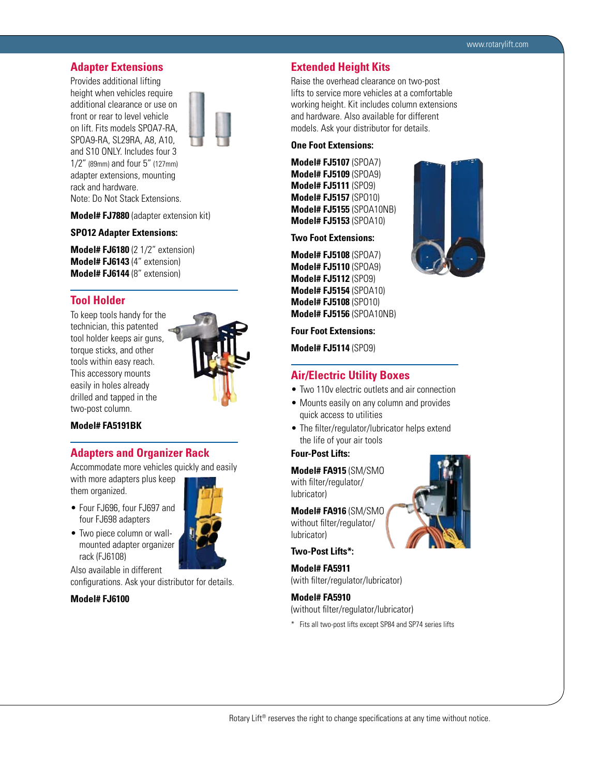### **Adapter Extensions**

Provides additional lifting height when vehicles require additional clearance or use on front or rear to level vehicle on lift. Fits models SPOA7-RA, SPOA9-RA, SL29RA, A8, A10, and S10 ONLY. Includes four 3 1/2" (89mm) and four 5" (127mm) adapter extensions, mounting rack and hardware. Note: Do Not Stack Extensions.



**Model# FJ7880** (adapter extension kit)

### **SPO12 Adapter Extensions:**

**Model# FJ6180** (2 1/2" extension) **Model# FJ6143** (4" extension) **Model# FJ6144** (8" extension)

### **Tool Holder**

To keep tools handy for the technician, this patented tool holder keeps air guns, torque sticks, and other tools within easy reach. This accessory mounts easily in holes already drilled and tapped in the two-post column.



### **Model# FA5191BK**

### **Adapters and Organizer Rack**

Accommodate more vehicles quickly and easily with more adapters plus keep

them organized.

- • Four FJ696, four FJ697 and four FJ698 adapters
- Two piece column or wallmounted adapter organizer rack (FJ6108)

Also available in different

configurations. Ask your distributor for details.

### **Model# FJ6100**



### **Extended Height Kits**

Raise the overhead clearance on two-post lifts to service more vehicles at a comfortable working height. Kit includes column extensions and hardware. Also available for different models. Ask your distributor for details.

### **One Foot Extensions:**

**Model# FJ5107** (SPOA7) **Model# FJ5109** (SPOA9) **Model# FJ5111** (SPO9) **Model# FJ5157** (SPO10) **Model# FJ5155** (SPOA10NB) **Model# FJ5153** (SPOA10)

**Two Foot Extensions:**

**Model# FJ5108** (SPOA7) **Model# FJ5110** (SPOA9) **Model# FJ5112** (SPO9) **Model# FJ5154** (SPOA10) **Model# FJ5108** (SPO10) **Model# FJ5156** (SPOA10NB)



#### **Four Foot Extensions:**

**Model# FJ5114** (SPO9)

### **Air/Electric Utility Boxes**

- Two 110 v electric outlets and air connection
- Mounts easily on any column and provides quick access to utilities
- The filter/regulator/lubricator helps extend the life of your air tools

### **Four-Post Lifts:**

**Model# FA915** (SM/SMO with filter/regulator/ lubricator)

**Model# FA916** (SM/SMO without filter/regulator/ lubricator)

### **Two-Post Lifts\*:**

**Model# FA5911** (with filter/regulator/lubricator)

### **Model# FA5910**

- (without filter/regulator/lubricator)
- \* Fits all two-post lifts except SP84 and SP74 series lifts

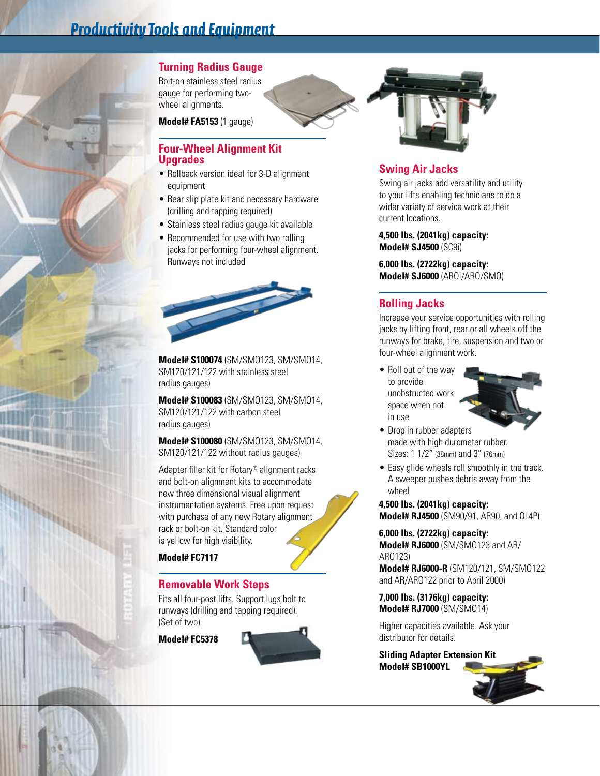# *Productivity Tools and Equipment*

# **Turning Radius Gauge**

Bolt-on stainless steel radius gauge for performing twowheel alignments.

**Model# FA5153** (1 gauge)

# **Four-Wheel Alignment Kit Upgrades**

- Rollback version ideal for 3-D alignment equipment
- Rear slip plate kit and necessary hardware (drilling and tapping required)
- Stainless steel radius gauge kit available
- Recommended for use with two rolling jacks for performing four-wheel alignment. Runways not included



**Model# S100074** (SM/SMO123, SM/SMO14, SM120/121/122 with stainless steel radius gauges)

**Model# S100083** (SM/SMO123, SM/SMO14, SM120/121/122 with carbon steel radius gauges)

**Model# S100080** (SM/SMO123, SM/SMO14, SM120/121/122 without radius gauges)

Adapter filler kit for Rotary® alignment racks and bolt-on alignment kits to accommodate new three dimensional visual alignment instrumentation systems. Free upon request with purchase of any new Rotary alignment rack or bolt-on kit. Standard color is yellow for high visibility.

**Model# FC7117**

**CONTRACTOR** 

# **Removable Work Steps**

Fits all four-post lifts. Support lugs bolt to runways (drilling and tapping required). (Set of two)

**Model# FC5378**





# **Swing Air Jacks**

Swing air jacks add versatility and utility to your lifts enabling technicians to do a wider variety of service work at their current locations.

**4,500 lbs. (2041kg) capacity: Model# SJ4500** (SC9i)

**6,000 lbs. (2722kg) capacity: Model# SJ6000** (AROi/ARO/SMO)

# **Rolling Jacks**

Increase your service opportunities with rolling jacks by lifting front, rear or all wheels off the runways for brake, tire, suspension and two or four-wheel alignment work.

• Roll out of the way to provide unobstructed work space when not in use



- Drop in rubber adapters made with high durometer rubber. Sizes: 1 1/2" (38mm) and 3" (76mm)
- Easy glide wheels roll smoothly in the track. A sweeper pushes debris away from the wheel

**4,500 lbs. (2041kg) capacity: Model# RJ4500** (SM90/91, AR90, and QL4P)

**6,000 lbs. (2722kg) capacity: Model# RJ6000** (SM/SMO123 and AR/ ARO123)

**Model# RJ6000-R** (SM120/121, SM/SMO122 and AR/ARO122 prior to April 2000)

**7,000 lbs. (3176kg) capacity: Model# RJ7000** (SM/SMO14)

Higher capacities available. Ask your distributor for details.

**Sliding Adapter Extension Kit Model# SB1000YL**

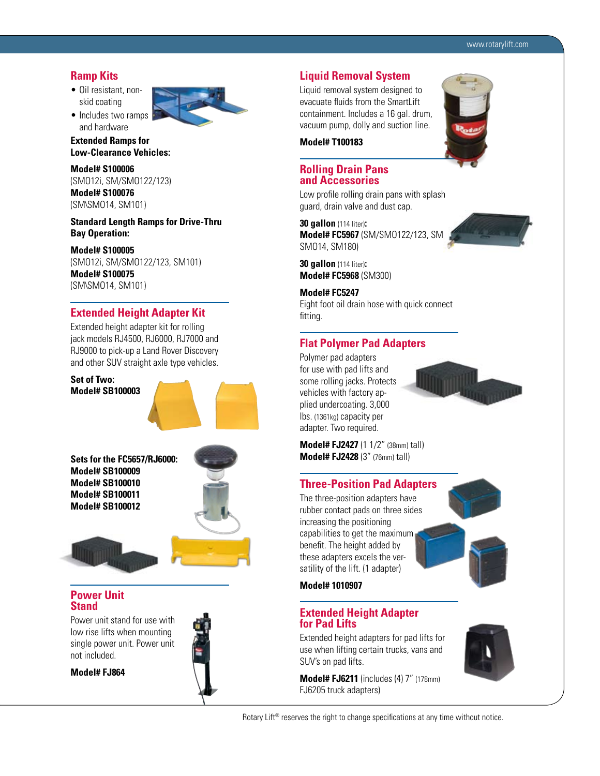### **Ramp Kits**

- Oil resistant, nonskid coating
- Includes two ramps and hardware



**Extended Ramps for Low-Clearance Vehicles:**

**Model# S100006** (SMO12i, SM/SMO122/123) **Model# S100076** (SM\SMO14, SM101)

**Standard Length Ramps for Drive-Thru Bay Operation:**

**Model# S100005** (SMO12i, SM/SMO122/123, SM101) **Model# S100075** (SM\SMO14, SM101)

### **Extended Height Adapter Kit**

Extended height adapter kit for rolling jack models RJ4500, RJ6000, RJ7000 and RJ9000 to pick-up a Land Rover Discovery and other SUV straight axle type vehicles.

**Set of Two: Model# SB100003**



**Sets for the FC5657/RJ6000: Model# SB100009 Model# SB100010 Model# SB100011 Model# SB100012**



### **Power Unit Stand**

Power unit stand for use with low rise lifts when mounting single power unit. Power unit not included.



**Model# FJ864**

## **Liquid Removal System**

Liquid removal system designed to evacuate fluids from the SmartLift containment. Includes a 16 gal. drum, vacuum pump, dolly and suction line.



### **Rolling Drain Pans and Accessories**

Low profile rolling drain pans with splash guard, drain valve and dust cap.

**30 gallon** (114 liter)**: Model# FC5967** (SM/SMO122/123, SM/ SMO14, SM180)

**30 gallon** (114 liter)**: Model# FC5968** (SM300)

**Model# FC5247** Eight foot oil drain hose with quick connect fitting.

# **Flat Polymer Pad Adapters**

Polymer pad adapters for use with pad lifts and some rolling jacks. Protects vehicles with factory applied undercoating. 3,000 lbs. (1361kg) capacity per adapter. Two required.



**Model# FJ2427** (1 1/2" (38mm) tall) **Model# FJ2428** (3" (76mm) tall)

## **Three-Position Pad Adapters**

The three-position adapters have rubber contact pads on three sides increasing the positioning capabilities to get the maximum benefit. The height added by these adapters excels the versatility of the lift. (1 adapter)



## **Model# 1010907**

### **Extended Height Adapter for Pad Lifts**

Extended height adapters for pad lifts for use when lifting certain trucks, vans and SUV's on pad lifts.

**Model# FJ6211** (includes (4) 7" (178mm) FJ6205 truck adapters)



Rotary Lift<sup>®</sup> reserves the right to change specifications at any time without notice.

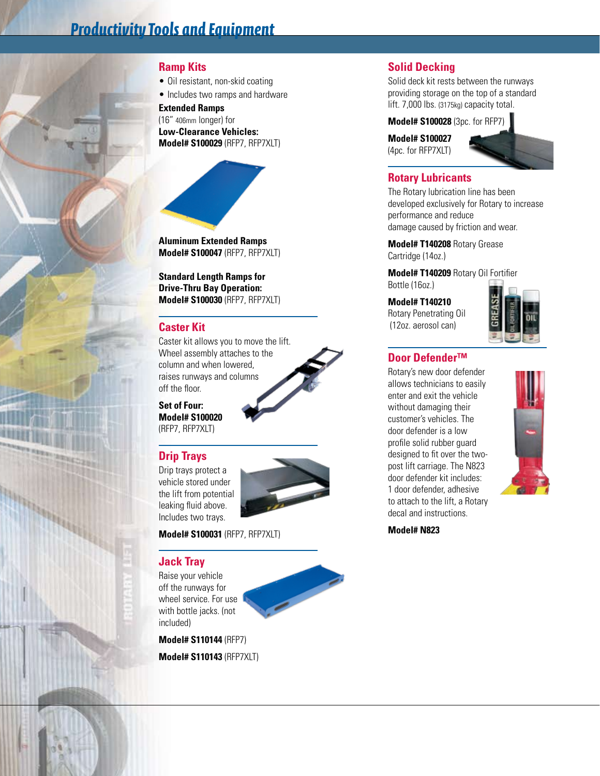# **Ramp Kits**

• Oil resistant, non-skid coating

• Includes two ramps and hardware

**Extended Ramps** (16" 406mm longer) for **Low-Clearance Vehicles: Model# S100029** (RFP7, RFP7XLT)



**Model# S100047** (RFP7, RFP7XLT)

**Standard Length Ramps for Drive-Thru Bay Operation: Model# S100030** (RFP7, RFP7XLT)

# **Caster Kit**

Caster kit allows you to move the lift. Wheel assembly attaches to the column and when lowered, raises runways and columns off the floor.

**Set of Four: Model# S100020** (RFP7, RFP7XLT)

# **Drip Trays**

Drip trays protect a vehicle stored under the lift from potential leaking fluid above. Includes two trays.



### **Model# S100031** (RFP7, RFP7XLT)

# **Jack Tray**

Raise your vehicle off the runways for wheel service. For use with bottle jacks. (not included)

**Model# S110144** (RFP7)

**Model# S110143** (RFP7XLT)

# **Solid Decking**

Solid deck kit rests between the runways providing storage on the top of a standard lift. 7,000 lbs. (3175kg) capacity total.

**Model# S100028** (3pc. for RFP7)

**Model# S100027** (4pc. for RFP7XLT)



# **Rotary Lubricants**

The Rotary lubrication line has been developed exclusively for Rotary to increase performance and reduce damage caused by friction and wear.

**Model# T140208** Rotary Grease Cartridge (14oz.)

**Model# T140209** Rotary Oil Fortifier Bottle (16oz.)

### **Model# T140210**

Rotary Penetrating Oil (12oz. aerosol can)



# **Door Defender™**

Rotary's new door defender allows technicians to easily enter and exit the vehicle without damaging their customer's vehicles. The door defender is a low profile solid rubber guard designed to fit over the twopost lift carriage. The N823 door defender kit includes: 1 door defender, adhesive to attach to the lift, a Rotary decal and instructions.



**Model# N823**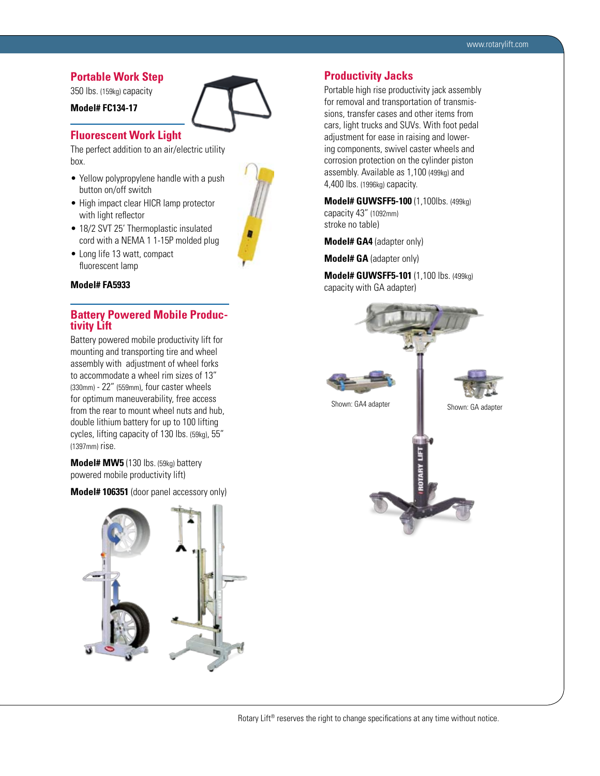## **Portable Work Step**

350 lbs. (159kg) capacity

### **Model# FC134-17**



The perfect addition to an air/electric utility box.

- Yellow polypropylene handle with a push button on/off switch
- High impact clear HICR lamp protector with light reflector
- 18/2 SVT 25' Thermoplastic insulated cord with a NEMA 1 1-15P molded plug
- Long life 13 watt, compact fluorescent lamp

#### **Model# FA5933**

# **Battery Powered Mobile Produc- tivity Lift**

Battery powered mobile productivity lift for mounting and transporting tire and wheel assembly with adjustment of wheel forks to accommodate a wheel rim sizes of 13" (330mm) - 22" (559mm), four caster wheels for optimum maneuverability, free access from the rear to mount wheel nuts and hub, double lithium battery for up to 100 lifting cycles, lifting capacity of 130 lbs. (59kg), 55" (1397mm) rise.

**Model# MW5** (130 lbs. (59kg) battery powered mobile productivity lift)

**Model# 106351** (door panel accessory only)





### **Productivity Jacks**

Portable high rise productivity jack assembly for removal and transportation of transmissions, transfer cases and other items from cars, light trucks and SUVs. With foot pedal adjustment for ease in raising and lowering components, swivel caster wheels and corrosion protection on the cylinder piston assembly. Available as 1,100 (499kg) and 4,400 lbs. (1996kg) capacity.

**Model# GUWSFF5-100** (1,100lbs. (499kg) capacity 43" (1092mm) stroke no table)

**Model# GA4** (adapter only)

**Model# GA** (adapter only)

**Model# GUWSFF5-101** (1,100 lbs. (499kg) capacity with GA adapter)